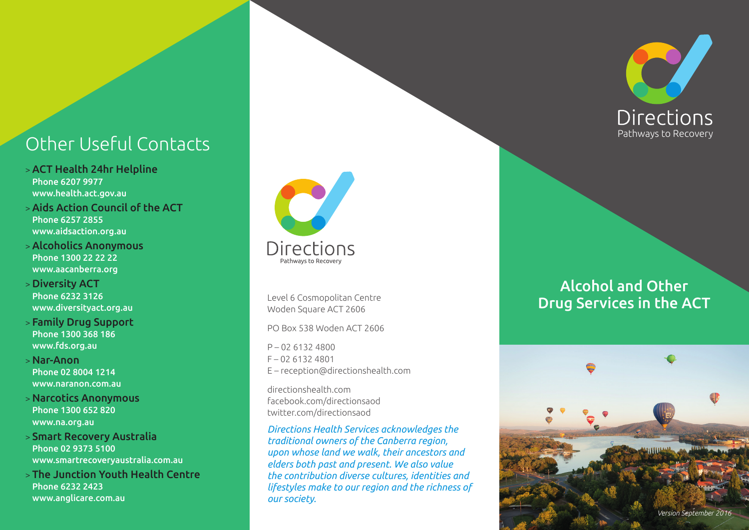# Pathways to Recovery Other Useful Contacts

- > ACT Health 24hr Helpline Phone 6207 9977 www.health.act.gov.au
- > Aids Action Council of the ACT Phone 6257 2855 www.aidsaction.org.au
- > Alcoholics Anonymous Phone 1300 22 22 22 www.aacanberra.org
- > Diversity ACT Phone 6232 3126 www.diversityact.org.au
- > Family Drug Support Phone 1300 368 186 www.fds.org.au
- > Nar-Anon Phone 02 8004 1214 www.naranon.com.au
- > Narcotics Anonymous Phone 1300 652 820 www.na.org.au
- > Smart Recovery Australia Phone 02 9373 5100 www.smartrecoveryaustralia.com.au
- > The Junction Youth Health Centre Phone 6232 2423 www.anglicare.com.au



Level 6 Cosmopolitan Centre Woden Square ACT 2606

PO Box 538 Woden ACT 2606

P – 02 6132 4800 F – 02 6132 4801 E – reception@directionshealth.com

directionshealth.com facebook.com/directionsaod twitter.com/directionsaod

*Directions Health Services acknowledges the traditional owners of the Canberra region, upon whose land we walk, their ancestors and elders both past and present. We also value the contribution diverse cultures, identities and lifestyles make to our region and the richness of our society.*



# Alcohol and Other Drug Services in the ACT